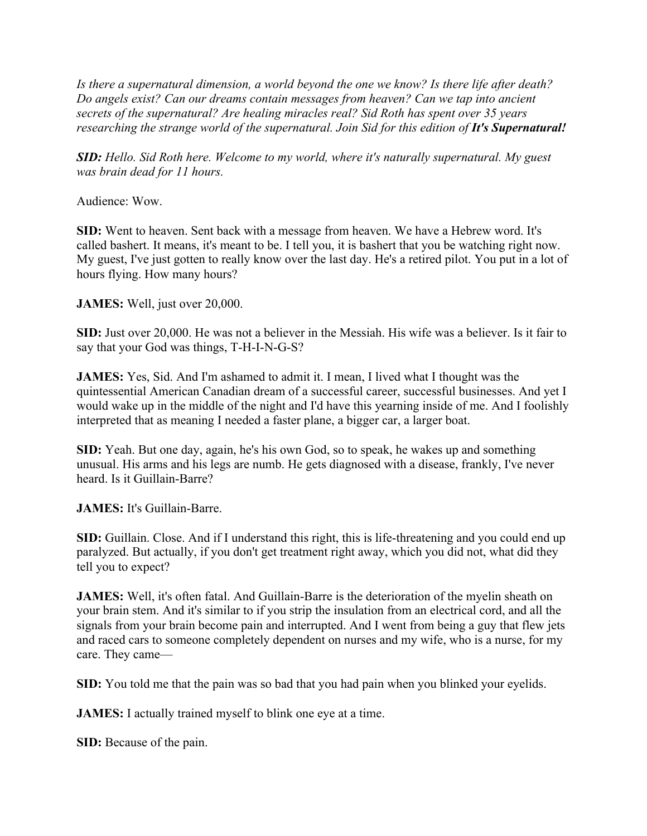*Is there a supernatural dimension, a world beyond the one we know? Is there life after death? Do angels exist? Can our dreams contain messages from heaven? Can we tap into ancient secrets of the supernatural? Are healing miracles real? Sid Roth has spent over 35 years researching the strange world of the supernatural. Join Sid for this edition of It's Supernatural!* 

*SID: Hello. Sid Roth here. Welcome to my world, where it's naturally supernatural. My guest was brain dead for 11 hours.*

Audience: Wow.

**SID:** Went to heaven. Sent back with a message from heaven. We have a Hebrew word. It's called bashert. It means, it's meant to be. I tell you, it is bashert that you be watching right now. My guest, I've just gotten to really know over the last day. He's a retired pilot. You put in a lot of hours flying. How many hours?

**JAMES:** Well, just over 20,000.

**SID:** Just over 20,000. He was not a believer in the Messiah. His wife was a believer. Is it fair to say that your God was things, T-H-I-N-G-S?

**JAMES:** Yes, Sid. And I'm ashamed to admit it. I mean, I lived what I thought was the quintessential American Canadian dream of a successful career, successful businesses. And yet I would wake up in the middle of the night and I'd have this yearning inside of me. And I foolishly interpreted that as meaning I needed a faster plane, a bigger car, a larger boat.

**SID:** Yeah. But one day, again, he's his own God, so to speak, he wakes up and something unusual. His arms and his legs are numb. He gets diagnosed with a disease, frankly, I've never heard. Is it Guillain-Barre?

**JAMES:** It's Guillain-Barre.

**SID:** Guillain. Close. And if I understand this right, this is life-threatening and you could end up paralyzed. But actually, if you don't get treatment right away, which you did not, what did they tell you to expect?

**JAMES:** Well, it's often fatal. And Guillain-Barre is the deterioration of the myelin sheath on your brain stem. And it's similar to if you strip the insulation from an electrical cord, and all the signals from your brain become pain and interrupted. And I went from being a guy that flew jets and raced cars to someone completely dependent on nurses and my wife, who is a nurse, for my care. They came—

**SID:** You told me that the pain was so bad that you had pain when you blinked your eyelids.

**JAMES:** I actually trained myself to blink one eye at a time.

**SID:** Because of the pain.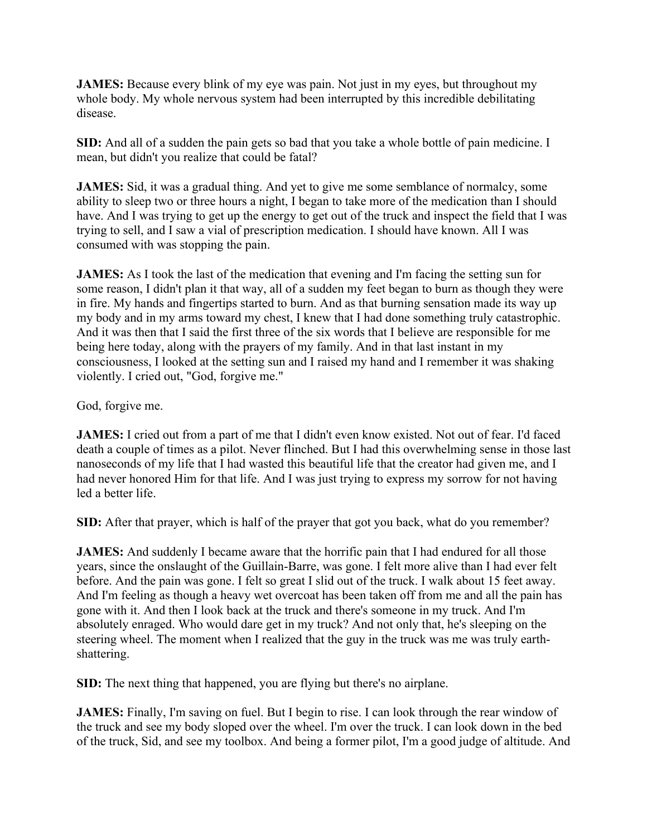**JAMES:** Because every blink of my eye was pain. Not just in my eyes, but throughout my whole body. My whole nervous system had been interrupted by this incredible debilitating disease.

**SID:** And all of a sudden the pain gets so bad that you take a whole bottle of pain medicine. I mean, but didn't you realize that could be fatal?

**JAMES:** Sid, it was a gradual thing. And yet to give me some semblance of normalcy, some ability to sleep two or three hours a night, I began to take more of the medication than I should have. And I was trying to get up the energy to get out of the truck and inspect the field that I was trying to sell, and I saw a vial of prescription medication. I should have known. All I was consumed with was stopping the pain.

**JAMES:** As I took the last of the medication that evening and I'm facing the setting sun for some reason, I didn't plan it that way, all of a sudden my feet began to burn as though they were in fire. My hands and fingertips started to burn. And as that burning sensation made its way up my body and in my arms toward my chest, I knew that I had done something truly catastrophic. And it was then that I said the first three of the six words that I believe are responsible for me being here today, along with the prayers of my family. And in that last instant in my consciousness, I looked at the setting sun and I raised my hand and I remember it was shaking violently. I cried out, "God, forgive me."

God, forgive me.

**JAMES:** I cried out from a part of me that I didn't even know existed. Not out of fear. I'd faced death a couple of times as a pilot. Never flinched. But I had this overwhelming sense in those last nanoseconds of my life that I had wasted this beautiful life that the creator had given me, and I had never honored Him for that life. And I was just trying to express my sorrow for not having led a better life.

**SID:** After that prayer, which is half of the prayer that got you back, what do you remember?

**JAMES:** And suddenly I became aware that the horrific pain that I had endured for all those years, since the onslaught of the Guillain-Barre, was gone. I felt more alive than I had ever felt before. And the pain was gone. I felt so great I slid out of the truck. I walk about 15 feet away. And I'm feeling as though a heavy wet overcoat has been taken off from me and all the pain has gone with it. And then I look back at the truck and there's someone in my truck. And I'm absolutely enraged. Who would dare get in my truck? And not only that, he's sleeping on the steering wheel. The moment when I realized that the guy in the truck was me was truly earthshattering.

**SID:** The next thing that happened, you are flying but there's no airplane.

**JAMES:** Finally, I'm saving on fuel. But I begin to rise. I can look through the rear window of the truck and see my body sloped over the wheel. I'm over the truck. I can look down in the bed of the truck, Sid, and see my toolbox. And being a former pilot, I'm a good judge of altitude. And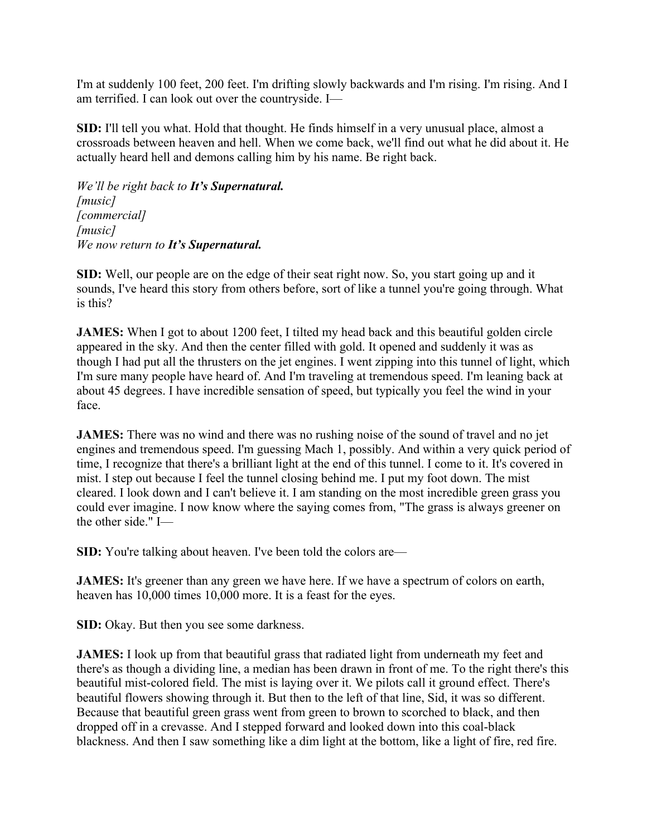I'm at suddenly 100 feet, 200 feet. I'm drifting slowly backwards and I'm rising. I'm rising. And I am terrified. I can look out over the countryside. I—

**SID:** I'll tell you what. Hold that thought. He finds himself in a very unusual place, almost a crossroads between heaven and hell. When we come back, we'll find out what he did about it. He actually heard hell and demons calling him by his name. Be right back.

*We'll be right back to It's Supernatural. [music] [commercial] [music] We now return to It's Supernatural.*

**SID:** Well, our people are on the edge of their seat right now. So, you start going up and it sounds, I've heard this story from others before, sort of like a tunnel you're going through. What is this?

**JAMES:** When I got to about 1200 feet, I tilted my head back and this beautiful golden circle appeared in the sky. And then the center filled with gold. It opened and suddenly it was as though I had put all the thrusters on the jet engines. I went zipping into this tunnel of light, which I'm sure many people have heard of. And I'm traveling at tremendous speed. I'm leaning back at about 45 degrees. I have incredible sensation of speed, but typically you feel the wind in your face.

**JAMES:** There was no wind and there was no rushing noise of the sound of travel and no jet engines and tremendous speed. I'm guessing Mach 1, possibly. And within a very quick period of time, I recognize that there's a brilliant light at the end of this tunnel. I come to it. It's covered in mist. I step out because I feel the tunnel closing behind me. I put my foot down. The mist cleared. I look down and I can't believe it. I am standing on the most incredible green grass you could ever imagine. I now know where the saying comes from, "The grass is always greener on the other side." I—

**SID:** You're talking about heaven. I've been told the colors are—

**JAMES:** It's greener than any green we have here. If we have a spectrum of colors on earth, heaven has 10,000 times 10,000 more. It is a feast for the eyes.

**SID:** Okay. But then you see some darkness.

**JAMES:** I look up from that beautiful grass that radiated light from underneath my feet and there's as though a dividing line, a median has been drawn in front of me. To the right there's this beautiful mist-colored field. The mist is laying over it. We pilots call it ground effect. There's beautiful flowers showing through it. But then to the left of that line, Sid, it was so different. Because that beautiful green grass went from green to brown to scorched to black, and then dropped off in a crevasse. And I stepped forward and looked down into this coal-black blackness. And then I saw something like a dim light at the bottom, like a light of fire, red fire.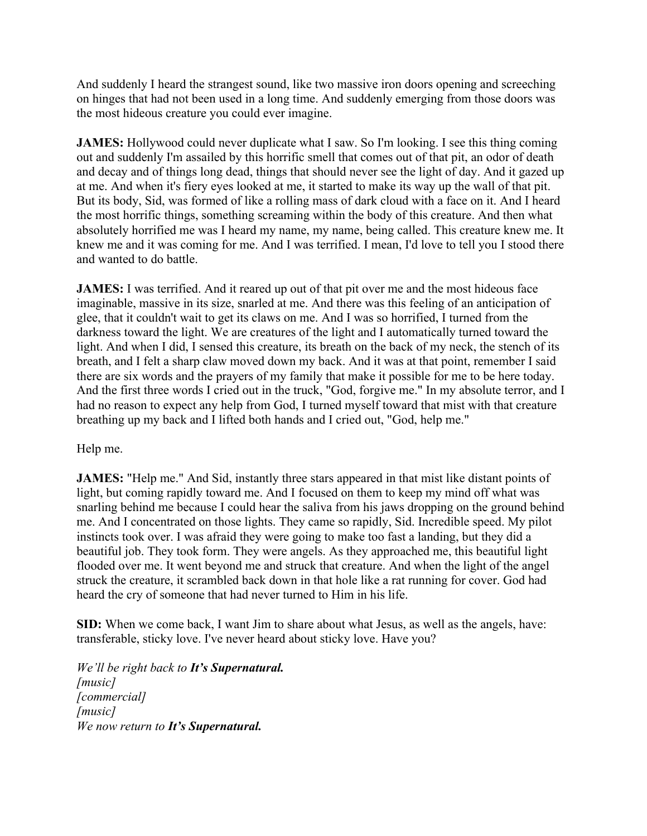And suddenly I heard the strangest sound, like two massive iron doors opening and screeching on hinges that had not been used in a long time. And suddenly emerging from those doors was the most hideous creature you could ever imagine.

**JAMES:** Hollywood could never duplicate what I saw. So I'm looking. I see this thing coming out and suddenly I'm assailed by this horrific smell that comes out of that pit, an odor of death and decay and of things long dead, things that should never see the light of day. And it gazed up at me. And when it's fiery eyes looked at me, it started to make its way up the wall of that pit. But its body, Sid, was formed of like a rolling mass of dark cloud with a face on it. And I heard the most horrific things, something screaming within the body of this creature. And then what absolutely horrified me was I heard my name, my name, being called. This creature knew me. It knew me and it was coming for me. And I was terrified. I mean, I'd love to tell you I stood there and wanted to do battle.

**JAMES:** I was terrified. And it reared up out of that pit over me and the most hideous face imaginable, massive in its size, snarled at me. And there was this feeling of an anticipation of glee, that it couldn't wait to get its claws on me. And I was so horrified, I turned from the darkness toward the light. We are creatures of the light and I automatically turned toward the light. And when I did, I sensed this creature, its breath on the back of my neck, the stench of its breath, and I felt a sharp claw moved down my back. And it was at that point, remember I said there are six words and the prayers of my family that make it possible for me to be here today. And the first three words I cried out in the truck, "God, forgive me." In my absolute terror, and I had no reason to expect any help from God, I turned myself toward that mist with that creature breathing up my back and I lifted both hands and I cried out, "God, help me."

## Help me.

**JAMES:** "Help me." And Sid, instantly three stars appeared in that mist like distant points of light, but coming rapidly toward me. And I focused on them to keep my mind off what was snarling behind me because I could hear the saliva from his jaws dropping on the ground behind me. And I concentrated on those lights. They came so rapidly, Sid. Incredible speed. My pilot instincts took over. I was afraid they were going to make too fast a landing, but they did a beautiful job. They took form. They were angels. As they approached me, this beautiful light flooded over me. It went beyond me and struck that creature. And when the light of the angel struck the creature, it scrambled back down in that hole like a rat running for cover. God had heard the cry of someone that had never turned to Him in his life.

**SID:** When we come back, I want Jim to share about what Jesus, as well as the angels, have: transferable, sticky love. I've never heard about sticky love. Have you?

*We'll be right back to It's Supernatural. [music] [commercial] [music] We now return to It's Supernatural.*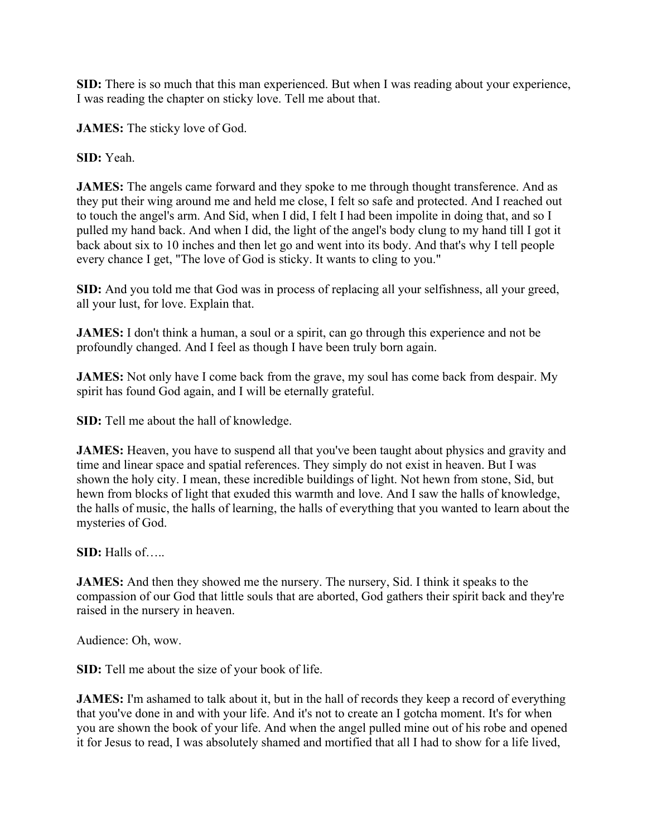**SID:** There is so much that this man experienced. But when I was reading about your experience, I was reading the chapter on sticky love. Tell me about that.

**JAMES:** The sticky love of God.

**SID:** Yeah.

**JAMES:** The angels came forward and they spoke to me through thought transference. And as they put their wing around me and held me close, I felt so safe and protected. And I reached out to touch the angel's arm. And Sid, when I did, I felt I had been impolite in doing that, and so I pulled my hand back. And when I did, the light of the angel's body clung to my hand till I got it back about six to 10 inches and then let go and went into its body. And that's why I tell people every chance I get, "The love of God is sticky. It wants to cling to you."

**SID:** And you told me that God was in process of replacing all your selfishness, all your greed, all your lust, for love. Explain that.

**JAMES:** I don't think a human, a soul or a spirit, can go through this experience and not be profoundly changed. And I feel as though I have been truly born again.

**JAMES:** Not only have I come back from the grave, my soul has come back from despair. My spirit has found God again, and I will be eternally grateful.

**SID:** Tell me about the hall of knowledge.

**JAMES:** Heaven, you have to suspend all that you've been taught about physics and gravity and time and linear space and spatial references. They simply do not exist in heaven. But I was shown the holy city. I mean, these incredible buildings of light. Not hewn from stone, Sid, but hewn from blocks of light that exuded this warmth and love. And I saw the halls of knowledge, the halls of music, the halls of learning, the halls of everything that you wanted to learn about the mysteries of God.

**SID:** Halls of…..

**JAMES:** And then they showed me the nursery. The nursery, Sid. I think it speaks to the compassion of our God that little souls that are aborted, God gathers their spirit back and they're raised in the nursery in heaven.

Audience: Oh, wow.

**SID:** Tell me about the size of your book of life.

**JAMES:** I'm ashamed to talk about it, but in the hall of records they keep a record of everything that you've done in and with your life. And it's not to create an I gotcha moment. It's for when you are shown the book of your life. And when the angel pulled mine out of his robe and opened it for Jesus to read, I was absolutely shamed and mortified that all I had to show for a life lived,